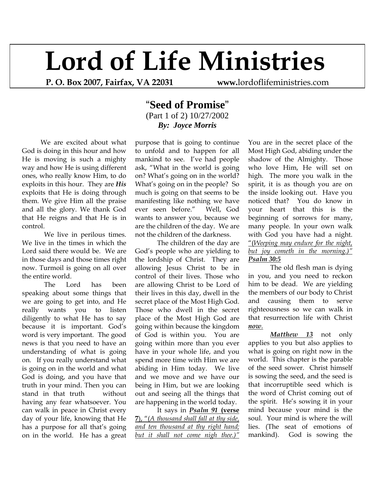## **Lord of Life Ministries**

**P. O. Box 2007, Fairfax, VA 22031 www.**[lordoflifeministries.com](mailto:virjoymor@aol.com)

## "**Seed of Promise**" (Part 1 of 2) 10/27/2002 *By: Joyce Morris*

 We are excited about what God is doing in this hour and how He is moving is such a mighty way and how He is using different ones, who really know Him, to do exploits in this hour. They are *His* exploits that He is doing through them. We give Him all the praise and all the glory. We thank God that He reigns and that He is in control.

 We live in perilous times. We live in the times in which the Lord said there would be. We are in those days and those times right now. Turmoil is going on all over the entire world.

 The Lord has been speaking about some things that we are going to get into, and He really wants you to listen diligently to what He has to say because it is important. God's word is very important. The good news is that you need to have an understanding of what is going on. If you really understand what is going on in the world and what God is doing, and you have that truth in your mind. Then you can stand in that truth without having any fear whatsoever. You can walk in peace in Christ every day of your life, knowing that He has a purpose for all that's going on in the world. He has a great purpose that is going to continue to unfold and to happen for all mankind to see. I've had people ask, "What in the world is going on? What's going on in the world? What's going on in the people? So much is going on that seems to be manifesting like nothing we have ever seen before." Well, God wants to answer you, because we are the children of the day. We are not the children of the darkness.

 their lives in this day, dwell in the The children of the day are God's people who are yielding to the lordship of Christ. They are allowing Jesus Christ to be in control of their lives. Those who are allowing Christ to be Lord of secret place of the Most High God. Those who dwell in the secret place of the Most High God are going within because the kingdom of God is within you. You are going within more than you ever have in your whole life, and you spend more time with Him we are abiding in Him today. We live and we move and we have our being in Him, but we are looking out and seeing all the things that are happening in the world today.

 It says in *Psalm 91* **(verse 7**), "(*A thousand shall fall at thy side, and ten thousand at thy right hand; but it shall not come nigh thee.)"* 

You are in the secret place of the Most High God, abiding under the shadow of the Almighty. Those who love Him, He will set on high. The more you walk in the spirit, it is as though you are on the inside looking out. Have you noticed that? You do know in your heart that this is the beginning of sorrows for many, many people. In your own walk with God you have had a night. "(*Weeping may endure for the night, but joy cometh in the morning.)" Psalm 30:5*

The old flesh man is dying in you, and you need to reckon him to be dead. We are yielding the members of our body to Christ and causing them to serve righteousness so we can walk in that resurrection life with Christ *now*.

*Matthew 13* not only applies to you but also applies to what is going on right now in the world. This chapter is the parable of the seed sower. Christ himself is sowing the seed, and the seed is that incorruptible seed which is the word of Christ coming out of the spirit. He's sowing it in your mind because your mind is the soul. Your mind is where the will lies. (The seat of emotions of mankind). God is sowing the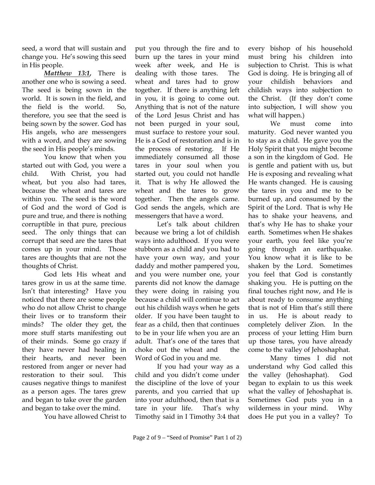seed, a word that will sustain and change you. He's sowing this seed in His people.

*Matthew 13:1,* There is another one who is sowing a seed. The seed is being sown in the world. It is sown in the field, and the field is the world. So, therefore, you see that the seed is being sown by the sower. God has His angels, who are messengers with a word, and they are sowing the seed in His people's minds.

 You know that when you started out with God, you were a child. With Christ, you had wheat, but you also had tares, because the wheat and tares are within you. The seed is the word of God and the word of God is pure and true, and there is nothing corruptible in that pure, precious seed. The only things that can corrupt that seed are the tares that comes up in your mind. Those tares are thoughts that are not the thoughts of Christ.

 God lets His wheat and tares grow in us at the same time. Isn't that interesting? Have you noticed that there are some people who do not allow Christ to change their lives or to transform their minds? The older they get, the more stuff starts manifesting out of their minds. Some go crazy if they have never had healing in their hearts, and never been restored from anger or never had restoration to their soul. This causes negative things to manifest as a person ages. The tares grew and began to take over the garden and began to take over the mind.

You have allowed Christ to

put you through the fire and to burn up the tares in your mind week after week, and He is dealing with those tares. The wheat and tares had to grow together. If there is anything left in you, it is going to come out. Anything that is not of the nature of the Lord Jesus Christ and has not been purged in your soul, must surface to restore your soul. He is a God of restoration and is in the process of restoring. If He immediately consumed all those tares in your soul when you started out, you could not handle it. That is why He allowed the wheat and the tares to grow together. Then the angels came. God sends the angels, which are messengers that have a word.

 Let's talk about children because we bring a lot of childish ways into adulthood. If you were stubborn as a child and you had to have your own way, and your daddy and mother pampered you, and you were number one, your parents did not know the damage they were doing in raising you because a child will continue to act out his childish ways when he gets older. If you have been taught to fear as a child, then that continues to be in your life when you are an adult. That's one of the tares that choke out the wheat and the Word of God in you and me.

 If you had your way as a child and you didn't come under the discipline of the love of your parents, and you carried that up into your adulthood, then that is a tare in your life. That's why Timothy said in I Timothy 3:4 that

every bishop of his household must bring his children into subjection to Christ. This is what God is doing. He is bringing all of your childish behaviors and childish ways into subjection to the Christ. (If they don't come into subjection, I will show you what will happen.)

 We must come into maturity. God never wanted you to stay as a child. He gave you the Holy Spirit that you might become a son in the kingdom of God. He is gentle and patient with us, but He is exposing and revealing what He wants changed. He is causing the tares in you and me to be burned up, and consumed by the Spirit of the Lord. That is why He has to shake your heavens, and that's why He has to shake your earth. Sometimes when He shakes your earth, you feel like you're going through an earthquake. You know what it is like to be shaken by the Lord. Sometimes you feel that God is constantly shaking you. He is putting on the final touches right now, and He is about ready to consume anything that is not of Him that's still there in us. He is about ready to completely deliver Zion. In the process of your letting Him burn up those tares, you have already come to the valley of Jehoshaphat.

 Many times I did not understand why God called this the valley (Jehoshaphat). God began to explain to us this week what the valley of Jehoshaphat is. Sometimes God puts you in a wilderness in your mind. Why does He put you in a valley? To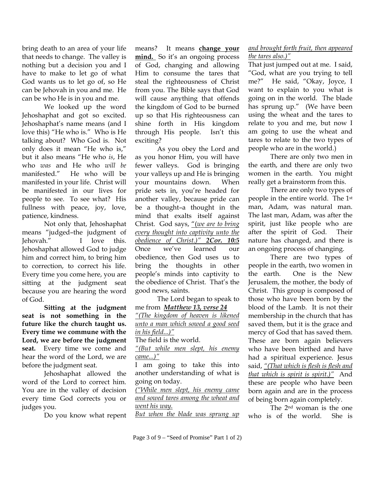bring death to an area of your life that needs to change. The valley is nothing but a decision you and I have to make to let go of what God wants us to let go of, so He can be Jehovah in you and me. He can be who He is in you and me.

 We looked up the word Jehoshaphat and got so excited. Jehoshaphat's name means (and I love this) "He who is." Who is He talking about? Who God is. Not only does it mean "He who is," but it also means "He who *is*, He who *was* and He who *will be* manifested." He who will be manifested in your life. Christ will be manifested in our lives for people to see. To see what? His fullness with peace, joy, love, patience, kindness.

 Not only that, Jehoshaphat means "judged–the judgment of Jehovah." I love this. Jehoshaphat allowed God to judge him and correct him, to bring him to correction, to correct his life. Every time you come here, you are sitting at the judgment seat because you are hearing the word of God.

**Sitting at the judgment seat is not something in the future like the church taught us. Every time we commune with the Lord, we are before the judgment seat.** Every time we come and hear the word of the Lord, we are before the judgment seat.

 Jehoshaphat allowed the word of the Lord to correct him. You are in the valley of decision every time God corrects you or judges you.

Do you know what repent

means? It means **change your**  mind. So it's an ongoing process of God, changing and allowing Him to consume the tares that steal the righteousness of Christ from you. The Bible says that God will cause anything that offends the kingdom of God to be burned up so that His righteousness can shine forth in His kingdom through His people. Isn't this exciting?

 As you obey the Lord and as you honor Him, you will have fewer valleys. God is bringing your valleys up and He is bringing your mountains down. When pride sets in, you're headed for another valley, because pride can be a thought–a thought in the mind that exalts itself against Christ. God says, "(*we are to bring every thought into captivity unto the obedience of Christ.)" 2Cor***.** *10:5* Once we've learned our obedience, then God uses us to bring the thoughts in other people's minds into captivity to the obedience of Christ. That's the good news, saints.

 The Lord began to speak to me from *Matthew 13, verse 24*

*"(The kingdom of heaven is likened unto a man which sowed a good seed in his field...)"*

The field is the world.

*"(But while men slept, his enemy came...)"*

I am going to take this into another understanding of what is going on today.

*("While men slept, his enemy came and sowed tares among the wheat and went his way.* 

*But when the blade was sprung up* 

## *and brought forth fruit, then appeared the tares also.)"*

That just jumped out at me. I said, "God, what are you trying to tell me?" He said, "Okay, Joyce, I want to explain to you what is going on in the world. The blade has sprung up." (We have been using the wheat and the tares to relate to you and me, but now I am going to use the wheat and tares to relate to the two types of people who are in the world.)

 There are only two men in the earth, and there are only two women in the earth. You might really get a brainstorm from this.

 There are only two types of people in the entire world. The 1st man, Adam, was natural man. The last man, Adam, was after the spirit, just like people who are after the spirit of God. Their nature has changed, and there is an ongoing process of changing.

 There are two types of people in the earth, two women in the earth. One is the New Jerusalem, the mother, the body of Christ. This group is composed of those who have been born by the blood of the Lamb. It is not their membership in the church that has saved them, but it is the grace and mercy of God that has saved them. These are born again believers who have been birthed and have had a spiritual experience. Jesus said, *"(That which is flesh is flesh and that which is spirit is spirit.)"* And these are people who have been born again and are in the process of being born again completely.

 The 2nd woman is the one who is of the world. She is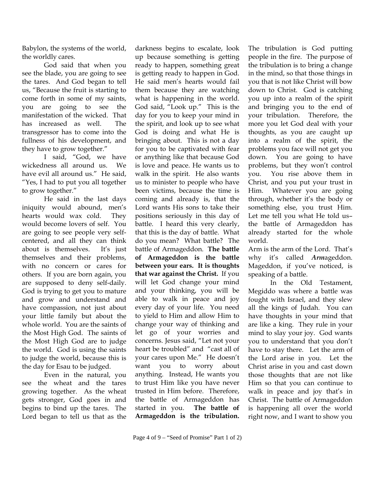Babylon, the systems of the world, the worldly cares.

 God said that when you see the blade, you are going to see the tares. And God began to tell us, "Because the fruit is starting to come forth in some of my saints, you are going to see the manifestation of the wicked. That has increased as well. The transgressor has to come into the fullness of his development, and they have to grow together."

 I said, "God, we have wickedness all around us. We have evil all around us." He said, "Yes, I had to put you all together to grow together."

 He said in the last days iniquity would abound, men's hearts would wax cold. They would become lovers of self. You are going to see people very selfcentered, and all they can think about is themselves. It's just themselves and their problems, with no concern or cares for others. If you are born again, you are supposed to deny self-daily. God is trying to get you to mature and grow and understand and have compassion, not just about your little family but about the whole world. You are the saints of the Most High God. The saints of the Most High God are to judge the world. God is using the saints to judge the world, because this is the day for Esau to be judged.

 Even in the natural, you see the wheat and the tares growing together. As the wheat gets stronger, God goes in and begins to bind up the tares. The Lord began to tell us that as the

darkness begins to escalate, look up because something is getting ready to happen, something great is getting ready to happen in God. He said men's hearts would fail them because they are watching what is happening in the world. God said, "Look up." This is the day for you to keep your mind in the spirit, and look up to see what God is doing and what He is bringing about. This is not a day for you to be captivated with fear or anything like that because God is love and peace. He wants us to walk in the spirit. He also wants us to minister to people who have been victims, because the time is coming and already is, that the Lord wants His sons to take their positions seriously in this day of battle. I heard this very clearly, that this is the day of battle. What do you mean? What battle? The battle of Armageddon. **The battle of Armageddon is the battle between your ears. It is thoughts that war against the Christ.** If you will let God change your mind and your thinking, you will be able to walk in peace and joy every day of your life. You need to yield to Him and allow Him to change your way of thinking and let go of your worries and concerns. Jesus said, "Let not your heart be troubled" and "cast all of your cares upon Me." He doesn't want you to worry about anything. Instead, He wants you to trust Him like you have never trusted in Him before. Therefore, the battle of Armageddon has started in you. **The battle of Armageddon is the tribulation.**

The tribulation is God putting people in the fire. The purpose of the tribulation is to bring a change in the mind, so that those things in you that is not like Christ will bow down to Christ. God is catching you up into a realm of the spirit and bringing you to the end of your tribulation. Therefore, the more you let God deal with your thoughts, as you are caught up into a realm of the spirit, the problems you face will not get you down. You are going to have problems, but they won't control you. You rise above them in Christ, and you put your trust in Him. Whatever you are going through, whether it's the body or something else, you trust Him. Let me tell you what He told us– the battle of Armageddon has already started for the whole world.

Arm is the arm of the Lord. That's why it's called *Arm*ageddon. Mageddon, if you've noticed, is speaking of a battle.

 In the Old Testament, Megiddo was where a battle was fought with Israel, and they slew all the kings of Judah. You can have thoughts in your mind that are like a king. They rule in your mind to slay your joy. God wants you to understand that you don't have to stay there. Let the arm of the Lord arise in you. Let the Christ arise in you and cast down those thoughts that are not like Him so that you can continue to walk in peace and joy that's in Christ. The battle of Armageddon is happening all over the world right now, and I want to show you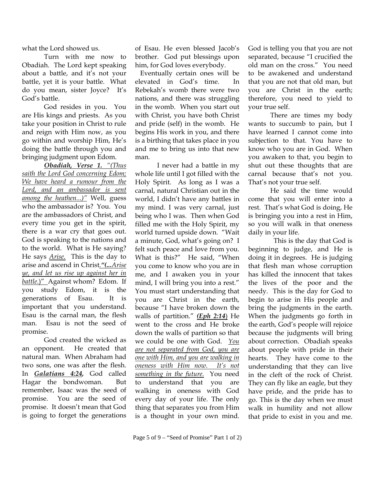what the Lord showed us.

 Turn with me now to Obadiah. The Lord kept speaking about a battle, and it's not your battle, yet it is your battle. What do you mean, sister Joyce? It's God's battle.

 God resides in you. You are His kings and priests. As you take your position in Christ to rule and reign with Him now, as you go within and worship Him, He's doing the battle through you and bringing judgment upon Edom.

*Obadiah, Verse 1. "(Thus saith the Lord God concerning Edom; We have heard a rumour from the Lord, and an ambassador is sent among the heathen...)"* Well, guess who the ambassador is? You. You are the ambassadors of Christ, and every time you get in the spirit, there is a war cry that goes out. God is speaking to the nations and to the world. What is He saying? He says *Arise*. This is the day to arise and ascend in Christ.*"(...Arise ye, and let us rise up against her in battle*.)" Against whom? Edom. If you study Edom, it is the generations of Esau. It is important that you understand. Esau is the carnal man, the flesh man. Esau is not the seed of promise.

 God created the wicked as an opponent. He created that natural man. When Abraham had two sons, one was after the flesh. In *Galatians 4:24,* God called Hagar the bondwoman. But remember, Isaac was the seed of promise. You are the seed of promise. It doesn't mean that God is going to forget the generations

of Esau. He even blessed Jacob's brother. God put blessings upon him, for God loves everybody.

 Eventually certain ones will be elevated in God's time. In Rebekah's womb there were two nations, and there was struggling in the womb. When you start out with Christ, you have both Christ and pride (self) in the womb. He begins His work in you, and there is a birthing that takes place in you and me to bring us into that new man.

 I never had a battle in my whole life until I got filled with the Holy Spirit. As long as I was a carnal, natural Christian out in the world, I didn't have any battles in my mind. I was very carnal, just being who I was. Then when God filled me with the Holy Spirit, my world turned upside down. "Wait a minute, God, what's going on? I felt such peace and love from you. What is this?" He said, "When you come to know who you are in me, and I awaken you in your mind, I will bring you into a rest." You must start understanding that you are Christ in the earth, because "I have broken down the walls of partition." *(Eph 2:14*) He went to the cross and He broke down the walls of partition so that we could be one with God. *You are not separated from God, you are one with Him, and you are walking in oneness with Him now. It's not something in the future.* You need to understand that you are walking in oneness with God every day of your life. The only thing that separates you from Him is a thought in your own mind.

God is telling you that you are not separated, because "I crucified the old man on the cross." You need to be awakened and understand that you are not that old man, but you are Christ in the earth; therefore, you need to yield to your true self.

 There are times my body wants to succumb to pain, but I have learned I cannot come into subjection to that. You have to know who you are in God. When you awaken to that, you begin to shut out these thoughts that are carnal because that's not you. That's not your true self.

 He said the time would come that you will enter into a rest. That's what God is doing, He is bringing you into a rest in Him, so you will walk in that oneness daily in your life.

 This is the day that God is beginning to judge, and He is doing it in degrees. He is judging that flesh man whose corruption has killed the innocent that takes the lives of the poor and the needy. This is the day for God to begin to arise in His people and bring the judgments in the earth. When the judgments go forth in the earth, God's people will rejoice because the judgments will bring about correction. Obadiah speaks about people with pride in their hearts. They have come to the understanding that they can live in the cleft of the rock of Christ. They can fly like an eagle, but they have pride, and the pride has to go. This is the day when we must walk in humility and not allow that pride to exist in you and me.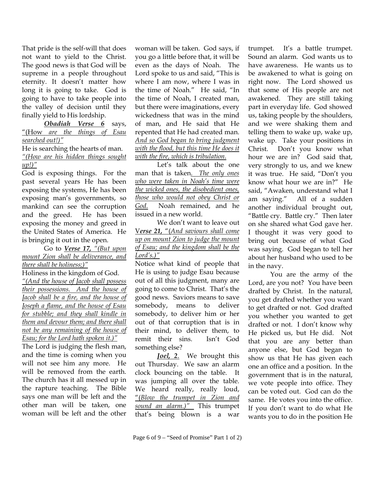That pride is the self-will that does not want to yield to the Christ. The good news is that God will be supreme in a people throughout eternity. It doesn't matter how long it is going to take. God is going to have to take people into the valley of decision until they finally yield to His lordship.

*Obadiah Verse 6* says, "(How *are the things of Esau searched out!)"*

He is searching the hearts of man. *"(How are his hidden things sought up!)"*

God is exposing things. For the past several years He has been exposing the systems, He has been exposing man's governments, so mankind can see the corruption and the greed. He has been exposing the money and greed in the United States of America. He is bringing it out in the open.

Go to **Verse 17,** "(But upon *mount Zion shall be deliverance, and there shall be holiness;)"*

Holiness in the kingdom of God. *"(And the house of Jacob shall possess their possessions. And the house of Jacob shall be a fire, and the house of Joseph a flame, and the house of Esau for stubble; and they shall kindle in them and devour them; and there shall not be any remaining of the house of Esau; for the Lord hath spoken it.)"*

The Lord is judging the flesh man, and the time is coming when you will not see him any more. He will be removed from the earth. The church has it all messed up in the rapture teaching. The Bible says one man will be left and the other man will be taken, one woman will be left and the other

woman will be taken. God says, if you go a little before that, it will be even as the days of Noah. The Lord spoke to us and said, "This is where I am now, where I was in the time of Noah." He said, "In the time of Noah, I created man, but there were imaginations, every wickedness that was in the mind of man, and He said that He repented that He had created man. *And so God began to bring judgment with the flood, but this time He does it with the fire, which is tribulation.*

 Let's talk about the one man that is taken. *The only ones who were taken in Noah's time were the wicked ones, the disobedient ones, those who would not obey Christ or God.*Noah remained, and he issued in a new world.

 We don't want to leave out V*erse 21,* "(*And saviours shall come up on mount Zion to judge the mount of Esau; and the kingdom shall be the Lord's.)"*

Notice what kind of people that He is using to judge Esau because out of all this judgment, many are going to come to Christ. That's the good news. Saviors means to save somebody, means to deliver somebody, to deliver him or her out of that corruption that is in their mind, to deliver them, to remit their sins. Isn't God something else?

*Joel, 2*. We brought this out Thursday. We saw an alarm clock bouncing on the table. It was jumping all over the table. We heard really, really loud, "(*Blow the trumpet in Zion and sound an alarm.)"* This trumpet that's being blown is a war

trumpet. It's a battle trumpet. Sound an alarm. God wants us to have awareness. He wants us to be awakened to what is going on right now. The Lord showed us that some of His people are not awakened. They are still taking part in everyday life. God showed us, taking people by the shoulders, and we were shaking them and telling them to wake up, wake up, wake up. Take your positions in Christ. Don't you know what hour we are in? God said that, very strongly to us, and we knew it was true. He said, "Don't you know what hour we are in?" He said, "Awaken, understand what I am saying." All of a sudden another individual brought out, "Battle cry. Battle cry." Then later on she shared what God gave her. I thought it was very good to bring out because of what God was saying. God began to tell her about her husband who used to be in the navy.

 You are the army of the Lord, are you not? You have been drafted by Christ. In the natural, you get drafted whether you want to get drafted or not. God drafted you whether you wanted to get drafted or not. I don't know why He picked us, but He did. Not that you are any better than anyone else, but God began to show us that He has given each one an office and a position. In the government that is in the natural, we vote people into office. They can be voted out. God can do the same. He votes you into the office. If you don't want to do what He wants you to do in the position He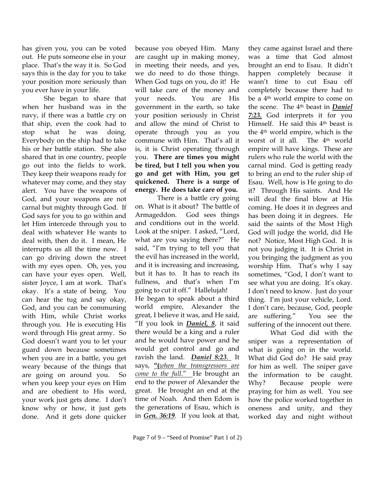has given you, you can be voted out. He puts someone else in your place. That's the way it is. So God says this is the day for you to take your position more seriously than you ever have in your life.

 She began to share that when her husband was in the navy, if there was a battle cry on that ship, even the cook had to stop what he was doing. Everybody on the ship had to take his or her battle station. She also shared that in one country, people go out into the fields to work. They keep their weapons ready for whatever may come, and they stay alert. You have the weapons of God, and your weapons are not carnal but mighty through God. If God says for you to go within and let Him intercede through you to deal with whatever He wants to deal with, then do it. I mean, He interrupts us all the time now. I can go driving down the street with my eyes open. Oh, yes, you can have your eyes open. Well, sister Joyce, I am at work. That's okay. It's a state of being. You can hear the tug and say okay, God, and you can be communing with Him, while Christ works through you. He is executing His word through His great army. So God doesn't want you to let your guard down because sometimes when you are in a battle, you get weary because of the things that are going on around you. So when you keep your eyes on Him and are obedient to His word, your work just gets done. I don't know why or how, it just gets done. And it gets done quicker

because you obeyed Him. Many are caught up in making money, in meeting their needs, and yes, we do need to do those things. When God tugs on you, do it! He will take care of the money and your needs. You are His government in the earth, so take your position seriously in Christ and allow the mind of Christ to operate through you as you commune with Him. That's all it is, it is Christ operating through you. **There are times you might be tired, but I tell you when you go and get with Him, you get quickened. There is a surge of energy. He does take care of you.** 

 There is a battle cry going on. What is it about? The battle of Armageddon. God sees things and conditions out in the world. Look at the sniper. I asked, "Lord, what are you saying there?" He said, "I'm trying to tell you that the evil has increased in the world, and it is increasing and increasing, but it has to. It has to reach its fullness, and that's when I'm going to cut it off." Hallelujah! He began to speak about a third world empire, Alexander the great, I believe it was, and He said, "If you look in *Daniel, 8*, it said

there would be a king and a ruler and he would have power and he would get control and go and ravish the land. *Daniel 8:23*. It says, **"(***when the transgressors are come to the full*."He brought an end to the power of Alexander the great. He brought an end at the time of Noah. And then Edom is the generations of Esau, which is in *Gen. 36:19*. If you look at that,

they came against Israel and there was a time that God almost brought an end to Esau. It didn't happen completely because it wasn't time to cut Esau off completely because there had to be a 4th world empire to come on the scene. The 4th beast in *Daniel 7:23*, God interprets it for you Himself. He said this 4<sup>th</sup> beast is the 4th world empire, which is the worst of it all. The 4th world empire will have kings. These are rulers who rule the world with the carnal mind. God is getting ready to bring an end to the ruler ship of Esau. Well, how is He going to do it? Through His saints. And He will deal the final blow at His coming. He does it in degrees and has been doing it in degrees. He said the saints of the Most High God will judge the world, did He not? Notice, Most High God. It is not you judging it. It is Christ in you bringing the judgment as you worship Him. That's why I say sometimes, "God, I don't want to see what you are doing. It's okay. I don't need to know. Just do your thing. I'm just your vehicle, Lord. I don't care, because, God, people are suffering." You see the suffering of the innocent out there.

 What God did with the sniper was a representation of what is going on in the world. What did God do? He said pray for him as well. The sniper gave the information to be caught. Why? Because people were praying for him as well. You see how the police worked together in oneness and unity, and they worked day and night without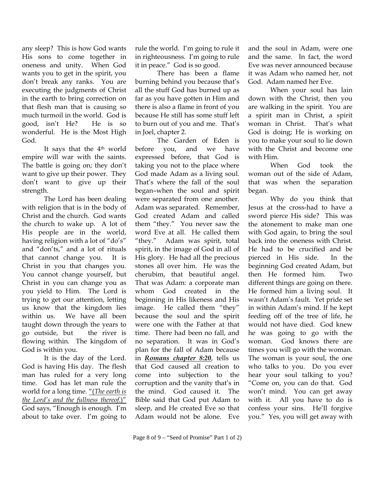any sleep? This is how God wants His sons to come together in oneness and unity. When God wants you to get in the spirit, you don't break any ranks. You are executing the judgments of Christ in the earth to bring correction on that flesh man that is causing so much turmoil in the world. God is good, isn't He? He is so wonderful. He is the Most High God.

 It says that the 4th world empire will war with the saints. The battle is going on; they don't want to give up their power. They don't want to give up their strength.

 The Lord has been dealing with religion that is in the body of Christ and the church. God wants the church to wake up. A lot of His people are in the world, having religion with a lot of "do's" and "don'ts," and a lot of rituals that cannot change you. It is Christ in you that changes you. You cannot change yourself, but Christ in you can change you as you yield to Him. The Lord is trying to get our attention, letting us know that the kingdom lies within us. We have all been taught down through the years to go outside, but the river is flowing within. The kingdom of God is within you.

 It is the day of the Lord. God is having His day. The flesh man has ruled for a very long time. God has let man rule the world for a long time. "(*The earth is the Lord's and the fullness thereof*.)" God says, "Enough is enough. I'm about to take over. I'm going to

rule the world. I'm going to rule it in righteousness. I'm going to rule it in peace." God is so good.

 There has been a flame burning behind you because that's all the stuff God has burned up as far as you have gotten in Him and there is also a flame in front of you because He still has some stuff left to burn out of you and me. That's in Joel, chapter 2.

 The Garden of Eden is before you, and we have expressed before, that God is taking you not to the place where God made Adam as a living soul. That's where the fall of the soul began–when the soul and spirit were separated from one another. Adam was separated. Remember, God created Adam and called them "they." You never saw the word Eve at all. He called them "they." Adam was spirit, total spirit, in the image of God in all of His glory. He had all the precious stones all over him. He was the cherubim, that beautiful angel. That was Adam: a corporate man whom God created in the beginning in His likeness and His image. He called them "they" because the soul and the spirit were one with the Father at that time. There had been no fall, and no separation. It was in God's plan for the fall of Adam because in *Romans chapter 8:20*, tells us that God caused all creation to come into subjection to the corruption and the vanity that's in the mind. God caused it. The Bible said that God put Adam to sleep, and He created Eve so that Adam would not be alone. Eve

and the soul in Adam, were one and the same. In fact, the word Eve was never announced because it was Adam who named her, not God. Adam named her Eve.

 When your soul has lain down with the Christ, then you are walking in the spirit. You are a spirit man in Christ, a spirit woman in Christ. That's what God is doing; He is working on you to make your soul to lie down with the Christ and become one with Him.

 When God took the woman out of the side of Adam, that was when the separation began.

 Why do you think that Jesus at the cross-had to have a sword pierce His side? This was the atonement to make man one with God again, to bring the soul back into the oneness with Christ. He had to be crucified and be pierced in His side. In the beginning God created Adam, but then He formed him. Two different things are going on there. He formed him a living soul. It wasn't Adam's fault. Yet pride set in within Adam's mind. If he kept feeding off of the tree of life, he would not have died. God knew he was going to go with the woman. God knows there are times you will go with the woman. The woman is your soul, the one who talks to you. Do you ever hear your soul talking to you? "Come on, you can do that. God won't mind. You can get away with it. All you have to do is confess your sins. He'll forgive you." Yes, you will get away with